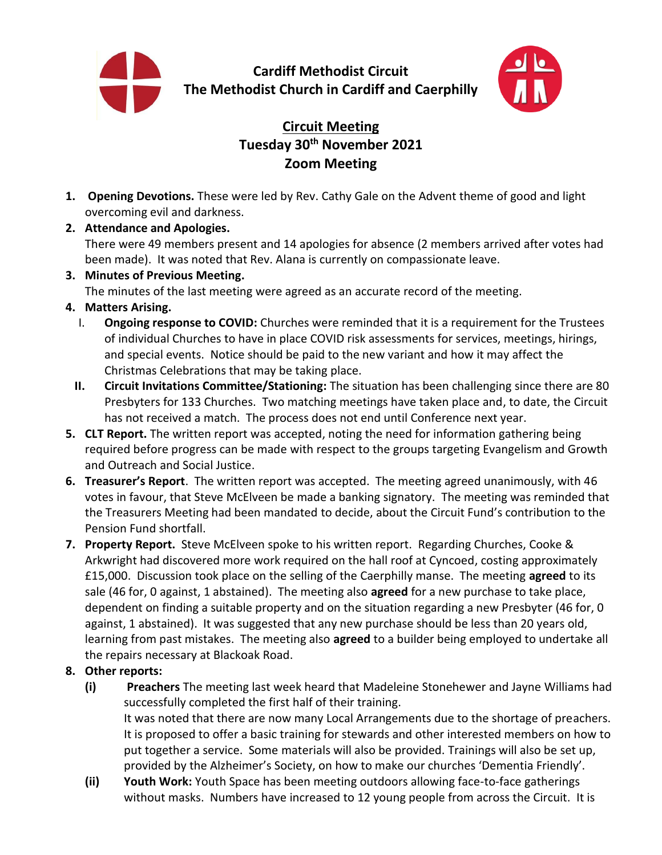

**Cardiff Methodist Circuit The Methodist Church in Cardiff and Caerphilly**



# **Circuit Meeting Tuesday 30th November 2021 Zoom Meeting**

- **1. Opening Devotions.** These were led by Rev. Cathy Gale on the Advent theme of good and light overcoming evil and darkness.
- **2. Attendance and Apologies.**

There were 49 members present and 14 apologies for absence (2 members arrived after votes had been made). It was noted that Rev. Alana is currently on compassionate leave.

**3. Minutes of Previous Meeting.** 

The minutes of the last meeting were agreed as an accurate record of the meeting.

## **4. Matters Arising.**

- I. **Ongoing response to COVID:** Churches were reminded that it is a requirement for the Trustees of individual Churches to have in place COVID risk assessments for services, meetings, hirings, and special events. Notice should be paid to the new variant and how it may affect the Christmas Celebrations that may be taking place.
- **II. Circuit Invitations Committee/Stationing:** The situation has been challenging since there are 80 Presbyters for 133 Churches. Two matching meetings have taken place and, to date, the Circuit has not received a match. The process does not end until Conference next year.
- **5. CLT Report.** The written report was accepted, noting the need for information gathering being required before progress can be made with respect to the groups targeting Evangelism and Growth and Outreach and Social Justice.
- **6. Treasurer's Report**. The written report was accepted. The meeting agreed unanimously, with 46 votes in favour, that Steve McElveen be made a banking signatory. The meeting was reminded that the Treasurers Meeting had been mandated to decide, about the Circuit Fund's contribution to the Pension Fund shortfall.
- **7. Property Report.** Steve McElveen spoke to his written report. Regarding Churches, Cooke & Arkwright had discovered more work required on the hall roof at Cyncoed, costing approximately £15,000. Discussion took place on the selling of the Caerphilly manse. The meeting **agreed** to its sale (46 for, 0 against, 1 abstained). The meeting also **agreed** for a new purchase to take place, dependent on finding a suitable property and on the situation regarding a new Presbyter (46 for, 0 against, 1 abstained). It was suggested that any new purchase should be less than 20 years old, learning from past mistakes. The meeting also **agreed** to a builder being employed to undertake all the repairs necessary at Blackoak Road.

## **8. Other reports:**

- **(i) Preachers** The meeting last week heard that Madeleine Stonehewer and Jayne Williams had successfully completed the first half of their training. It was noted that there are now many Local Arrangements due to the shortage of preachers. It is proposed to offer a basic training for stewards and other interested members on how to put together a service. Some materials will also be provided. Trainings will also be set up, provided by the Alzheimer's Society, on how to make our churches 'Dementia Friendly'.
- **(ii) Youth Work:** Youth Space has been meeting outdoors allowing face-to-face gatherings without masks. Numbers have increased to 12 young people from across the Circuit. It is